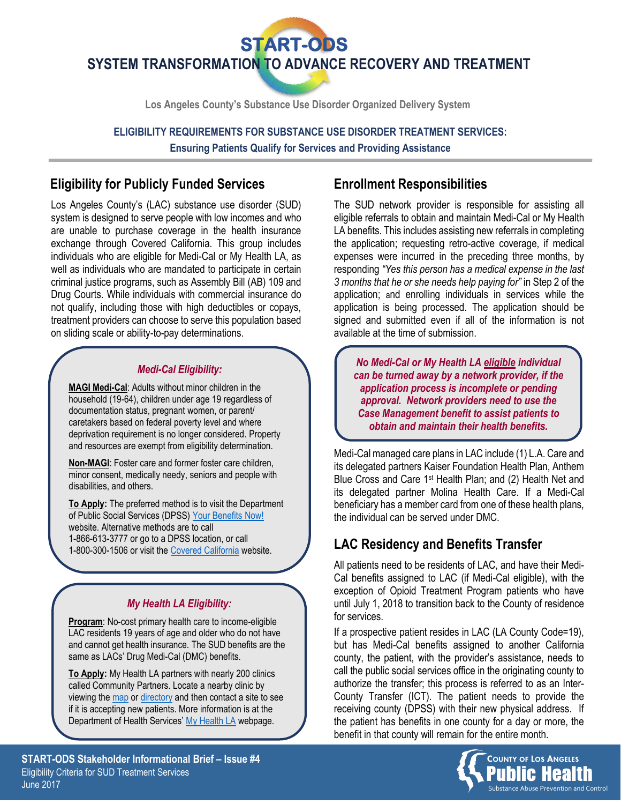**SYSTEM TRANSFORMATION TO ADVANCE RECOVERY AND TREATMENT START-ODS** 

**Los Angeles County's Substance Use Disorder Organized Delivery System**

**ELIGIBILITY REQUIREMENTS FOR SUBSTANCE USE DISORDER TREATMENT SERVICES: Ensuring Patients Qualify for Services and Providing Assistance**

### **Eligibility for Publicly Funded Services**

Los Angeles County's (LAC) substance use disorder (SUD) system is designed to serve people with low incomes and who are unable to purchase coverage in the health insurance exchange through Covered California. This group includes individuals who are eligible for Medi-Cal or My Health LA, as well as individuals who are mandated to participate in certain criminal justice programs, such as Assembly Bill (AB) 109 and Drug Courts. While individuals with commercial insurance do not qualify, including those with high deductibles or copays, treatment providers can choose to serve this population based on sliding scale or ability-to-pay determinations.

#### *Medi-Cal Eligibility:*

**MAGI Medi-Cal**: Adults without minor children in the household (19-64), children under age 19 regardless of documentation status, pregnant women, or parent/ caretakers based on federal poverty level and where deprivation requirement is no longer considered. Property and resources are exempt from eligibility determination.

**Non-MAGI**: Foster care and former foster care children, minor consent, medically needy, seniors and people with disabilities, and others.

**To Apply:** The preferred method is to visit the Department of Public Social Services (DPSS) [Your Benefits Now!](https://www.dpssbenefits.lacounty.gov/ybn/Index.html) website. Alternative methods are to call 1-866-613-3777 or go to a DPSS location, or call 1-800-300-1506 or visit the [Covered California](http://www.coveredca.com/) website.

#### *My Health LA Eligibility:*

**Program**: No-cost primary health care to income-eligible LAC residents 19 years of age and older who do not have and cannot get health insurance. The SUD benefits are the same as LACs' Drug Medi-Cal (DMC) benefits.

**To Apply:** My Health LA partners with nearly 200 clinics called Community Partners. Locate a nearby clinic by viewing the [map](http://dhs.lacounty.gov/wps/portal/dhs/locations/search) or [directory](http://file.lacounty.gov/SDSInter/dhs/220332_MHLA_ProviderDirectory2016-08-22.pdf) and then contact a site to see if it is accepting new patients. More information is at the Department of Health Services' [My Health LA](http://dhs.lacounty.gov/wps/portal/dhs/coverageoptions/myhealthla) webpage.

### **Enrollment Responsibilities**

The SUD network provider is responsible for assisting all eligible referrals to obtain and maintain Medi-Cal or My Health LA benefits. This includes assisting new referrals in completing the application; requesting retro-active coverage, if medical expenses were incurred in the preceding three months, by responding *"Yes this person has a medical expense in the last 3 months that he or she needs help paying for"* in Step 2 of the application; and enrolling individuals in services while the application is being processed. The application should be signed and submitted even if all of the information is not available at the time of submission.

*No Medi-Cal or My Health LA eligible individual can be turned away by a network provider, if the application process is incomplete or pending approval. Network providers need to use the Case Management benefit to assist patients to obtain and maintain their health benefits.*

Medi-Cal managed care plans in LAC include (1) L.A. Care and its delegated partners Kaiser Foundation Health Plan, Anthem Blue Cross and Care 1st Health Plan; and (2) Health Net and its delegated partner Molina Health Care. If a Medi-Cal beneficiary has a member card from one of these health plans, the individual can be served under DMC.

# **LAC Residency and Benefits Transfer**

All patients need to be residents of LAC, and have their Medi-Cal benefits assigned to LAC (if Medi-Cal eligible), with the exception of Opioid Treatment Program patients who have until July 1, 2018 to transition back to the County of residence for services.

If a prospective patient resides in LAC (LA County Code=19), but has Medi-Cal benefits assigned to another California county, the patient, with the provider's assistance, needs to call the public social services office in the originating county to authorize the transfer; this process is referred to as an Inter-County Transfer (ICT). The patient needs to provide the receiving county (DPSS) with their new physical address. If the patient has benefits in one county for a day or more, the benefit in that county will remain for the entire month.



**START-ODS Stakeholder Informational Brief – Issue #4** Eligibility Criteria for SUD Treatment Services June 2017 Substance Abuse Prevention and Control

\*MAGI = Modified Adjusted Gross Income